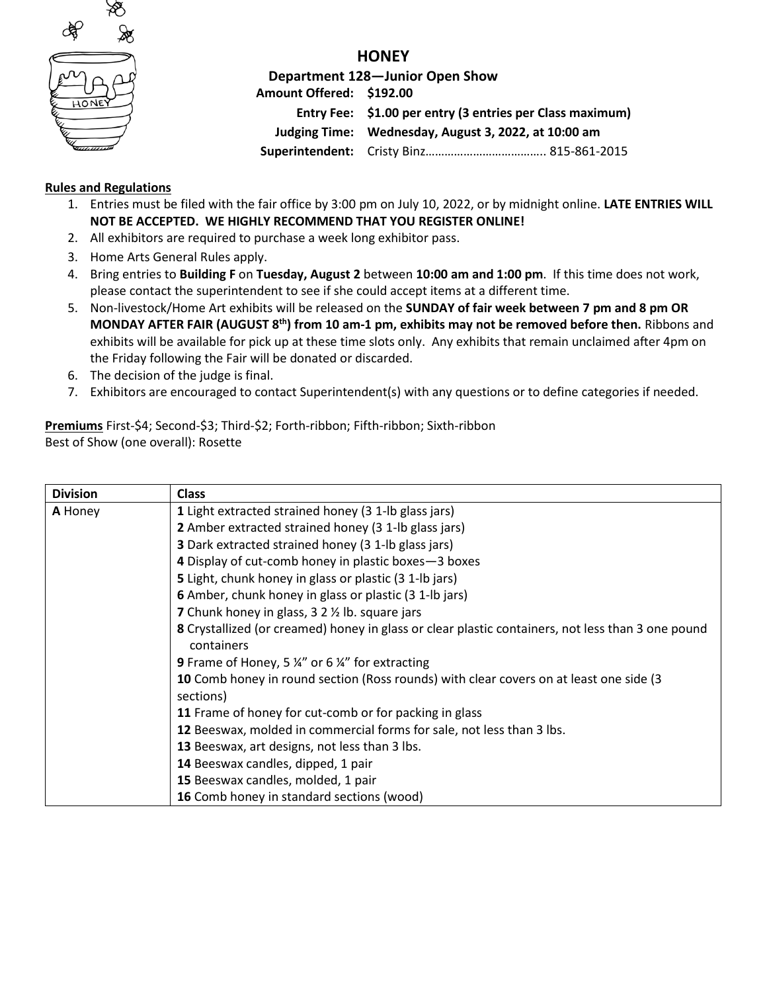

**HONEY**

**Department 128—Junior Open Show Amount Offered: \$192.00 Entry Fee: \$1.00 per entry (3 entries per Class maximum) Judging Time: Wednesday, August 3, 2022, at 10:00 am Superintendent:** Cristy Binz……………………………….. 815-861-2015

## **Rules and Regulations**

- 1. Entries must be filed with the fair office by 3:00 pm on July 10, 2022, or by midnight online. **LATE ENTRIES WILL NOT BE ACCEPTED. WE HIGHLY RECOMMEND THAT YOU REGISTER ONLINE!**
- 2. All exhibitors are required to purchase a week long exhibitor pass.
- 3. Home Arts General Rules apply.
- 4. Bring entries to **Building F** on **Tuesday, August 2** between **10:00 am and 1:00 pm**. If this time does not work, please contact the superintendent to see if she could accept items at a different time.
- 5. Non-livestock/Home Art exhibits will be released on the **SUNDAY of fair week between 7 pm and 8 pm OR MONDAY AFTER FAIR (AUGUST 8 th) from 10 am-1 pm, exhibits may not be removed before then.** Ribbons and exhibits will be available for pick up at these time slots only. Any exhibits that remain unclaimed after 4pm on the Friday following the Fair will be donated or discarded.
- 6. The decision of the judge is final.
- 7. Exhibitors are encouraged to contact Superintendent(s) with any questions or to define categories if needed.

**Premiums** First-\$4; Second-\$3; Third-\$2; Forth-ribbon; Fifth-ribbon; Sixth-ribbon Best of Show (one overall): Rosette

| <b>Division</b> | <b>Class</b>                                                                                                    |  |  |  |
|-----------------|-----------------------------------------------------------------------------------------------------------------|--|--|--|
| A Honey         | 1 Light extracted strained honey (3 1-lb glass jars)                                                            |  |  |  |
|                 | 2 Amber extracted strained honey (3 1-lb glass jars)                                                            |  |  |  |
|                 | <b>3</b> Dark extracted strained honey (3 1-lb glass jars)                                                      |  |  |  |
|                 | 4 Display of cut-comb honey in plastic boxes-3 boxes                                                            |  |  |  |
|                 | 5 Light, chunk honey in glass or plastic (3 1-lb jars)                                                          |  |  |  |
|                 | 6 Amber, chunk honey in glass or plastic (3 1-lb jars)                                                          |  |  |  |
|                 | <b>7</b> Chunk honey in glass, 3 2 1/2 lb. square jars                                                          |  |  |  |
|                 | 8 Crystallized (or creamed) honey in glass or clear plastic containers, not less than 3 one pound<br>containers |  |  |  |
|                 | <b>9</b> Frame of Honey, 5 $\frac{1}{4}$ " or 6 $\frac{1}{4}$ " for extracting                                  |  |  |  |
|                 | 10 Comb honey in round section (Ross rounds) with clear covers on at least one side (3<br>sections)             |  |  |  |
|                 | 11 Frame of honey for cut-comb or for packing in glass                                                          |  |  |  |
|                 | 12 Beeswax, molded in commercial forms for sale, not less than 3 lbs.                                           |  |  |  |
|                 | 13 Beeswax, art designs, not less than 3 lbs.                                                                   |  |  |  |
|                 | 14 Beeswax candles, dipped, 1 pair                                                                              |  |  |  |
|                 | 15 Beeswax candles, molded, 1 pair                                                                              |  |  |  |
|                 | 16 Comb honey in standard sections (wood)                                                                       |  |  |  |